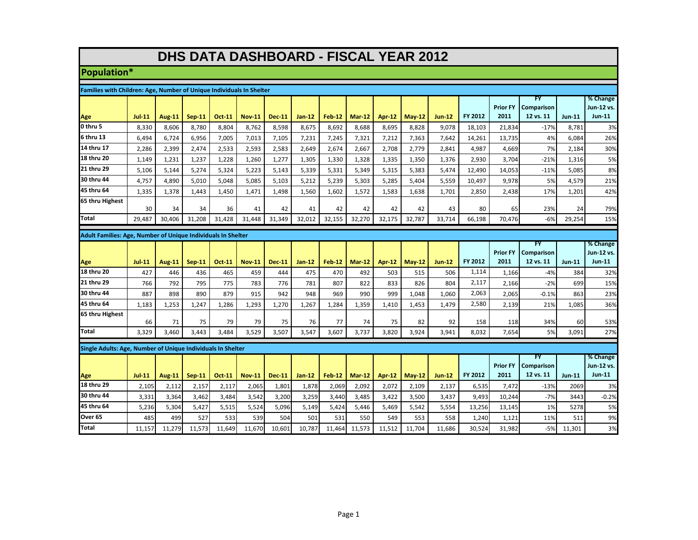## **DHS DATA DASHBOARD - FISCAL YEAR 2012**

## **Population\***

| Families with Children: Age, Number of Unique Individuals In Shelter |          |               |          |               |               |               |          |               |               |               |          |               |                |                 |                                |               |                        |
|----------------------------------------------------------------------|----------|---------------|----------|---------------|---------------|---------------|----------|---------------|---------------|---------------|----------|---------------|----------------|-----------------|--------------------------------|---------------|------------------------|
|                                                                      |          |               |          |               |               |               |          |               |               |               |          |               |                | <b>Prior FY</b> | <b>FY</b><br><b>Comparison</b> |               | % Change<br>Jun-12 vs. |
| Age                                                                  | $Jul-11$ | <b>Aug-11</b> | $Sep-11$ | <b>Oct-11</b> | <b>Nov-11</b> | <b>Dec-11</b> | $Jan-12$ | $Feb-12$      | <b>Mar-12</b> | Apr-12        | $May-12$ | <b>Jun-12</b> | FY 2012        | 2011            | 12 vs. 11                      | $Jun-11$      | $Jun-11$               |
| 0 thru 5                                                             | 8,330    | 8,606         | 8,780    | 8,804         | 8,762         | 8,598         | 8,675    | 8,692         | 8,688         | 8,695         | 8,828    | 9,078         | 18,103         | 21,834          | $-17%$                         | 8,781         | 3%                     |
| 6 thru 13                                                            | 6,494    | 6,724         | 6,956    | 7,005         | 7,013         | 7,105         | 7,231    | 7,245         | 7,321         | 7,212         | 7,363    | 7,642         | 14,261         | 13,735          | 4%                             | 6,084         | 26%                    |
| 14 thru 17                                                           | 2,286    | 2,399         | 2,474    | 2,533         | 2,593         | 2,583         | 2,649    | 2,674         | 2,667         | 2,708         | 2,779    | 2,841         | 4,987          | 4,669           | 7%                             | 2,184         | 30%                    |
| 18 thru 20                                                           | 1,149    | 1,231         | 1,237    | 1,228         | 1,260         | 1,277         | 1,305    | 1,330         | 1,328         | 1,335         | 1,350    | 1,376         | 2,930          | 3,704           | $-21%$                         | 1,316         | 5%                     |
| 21 thru 29                                                           | 5,106    | 5,144         | 5,274    | 5,324         | 5,223         | 5,143         | 5,339    | 5,331         | 5,349         | 5,315         | 5,383    | 5,474         | 12,490         | 14,053          | $-11%$                         | 5,085         | 8%                     |
| 30 thru 44                                                           | 4,757    | 4,890         | 5.010    | 5.048         | 5.085         | 5.103         | 5,212    | 5.239         | 5,303         | 5.285         | 5,404    | 5,559         | 10,497         | 9,978           | 5%                             | 4,579         | 21%                    |
| 45 thru 64                                                           | 1,335    | 1,378         | 1,443    | 1,450         | 1,471         | 1,498         | 1,560    | 1,602         | 1,572         | 1,583         | 1,638    | 1,701         | 2,850          | 2,438           | 17%                            | 1,201         | 42%                    |
| 65 thru Highest                                                      | 30       | 34            | 34       | 36            | 41            | 42            | 41       | 42            | 42            | 42            | 42       | 43            | 80             | 65              | 23%                            | 24            | 79%                    |
| <b>Total</b>                                                         | 29.487   | 30,406        | 31,208   | 31,428        | 31.448        | 31,349        | 32,012   | 32,155        | 32,270        | 32,175        | 32,787   | 33,714        | 66,198         | 70,476          | $-6%$                          | 29,254        | 15%                    |
|                                                                      |          |               |          |               |               |               |          |               |               |               |          |               |                |                 |                                |               |                        |
| Adult Families: Age, Number of Unique Individuals In Shelter<br>FΥ   |          |               |          |               |               |               |          |               |               |               |          | % Change      |                |                 |                                |               |                        |
|                                                                      |          |               |          |               |               |               |          |               |               |               |          |               |                | <b>Prior FY</b> | <b>Comparison</b>              |               | Jun-12 vs.             |
| Age                                                                  | $Jul-11$ | <b>Aug-11</b> | $Sep-11$ | <b>Oct-11</b> | <b>Nov-11</b> | <b>Dec-11</b> | $Jan-12$ | <b>Feb-12</b> | $Mar-12$      | <b>Apr-12</b> | $Mav-12$ | $Jun-12$      | <b>FY 2012</b> | 2011            | 12 vs. 11                      | $Jun-11$      | $Jun-11$               |
| 18 thru 20                                                           | 427      | 446           | 436      | 465           | 459           | 444           | 475      | 470           | 492           | 503           | 515      | 506           | 1,114          | 1,166           | $-4%$                          | 384           | 32%                    |
| 21 thru 29                                                           |          |               |          |               |               |               |          |               |               |               |          |               |                |                 |                                |               |                        |
|                                                                      | 766      | 792           | 795      | 775           | 783           | 776           | 781      | 807           | 822           | 833           | 826      | 804           | 2,117          | 2,166           | $-2%$                          | 699           | 15%                    |
| 30 thru 44                                                           | 887      | 898           | 890      | 879           | 915           | 942           | 948      | 969           | 990           | 999           | 1,048    | 1,060         | 2,063          | 2,065           | $-0.1%$                        | 863           | 23%                    |
| 45 thru 64                                                           | 1,183    | 1,253         | 1,247    | 1,286         | 1,293         | 1,270         | 1,267    | 1,284         | 1,359         | 1,410         | 1,453    | 1,479         | 2,580          | 2,139           | 21%                            | 1,085         | 36%                    |
| 65 thru Highest                                                      | 66       | 71            | 75       | 79            | 79            | 75            | 76       | 77            | 74            | 75            | 82       | 92            | 158            | 118             | 34%                            | 60            |                        |
| Total                                                                | 3,329    | 3,460         | 3,443    | 3,484         | 3,529         | 3,507         | 3,547    | 3,607         | 3,737         | 3,820         | 3,924    | 3,941         | 8,032          | 7,654           | 5%                             | 3,091         | 53%<br>27%             |
|                                                                      |          |               |          |               |               |               |          |               |               |               |          |               |                |                 |                                |               |                        |
| Single Adults: Age, Number of Unique Individuals In Shelter          |          |               |          |               |               |               |          |               |               |               |          |               |                |                 |                                |               |                        |
|                                                                      |          |               |          |               |               |               |          |               |               |               |          |               |                | <b>Prior FY</b> | <b>FY</b><br>Comparison        |               | % Change<br>Jun-12 vs. |
| Age                                                                  | $Jul-11$ | <b>Aug-11</b> | $Sep-11$ | <b>Oct-11</b> | <b>Nov-11</b> | <b>Dec-11</b> | $Jan-12$ | <b>Feb-12</b> | <b>Mar-12</b> | <b>Apr-12</b> | $Mav-12$ | $Jun-12$      | FY 2012        | 2011            | 12 vs. 11                      | <b>Jun-11</b> | $Jun-11$               |
| 18 thru 29                                                           | 2,105    | 2,112         | 2,157    | 2,117         | 2,065         | 1,801         | 1,878    | 2,069         | 2,092         | 2,072         | 2,109    | 2,137         | 6,535          | 7,472           | $-13%$                         | 2069          | 3%                     |
| 30 thru 44                                                           | 3,331    | 3,364         | 3,462    | 3,484         | 3,542         | 3,200         | 3,259    | 3,440         | 3,485         | 3,422         | 3,500    | 3,437         | 9,493          | 10,244          | $-7%$                          | 3443          | $-0.2%$                |
| 45 thru 64                                                           | 5,236    | 5,304         | 5,427    | 5,515         | 5,524         | 5,096         | 5,149    | 5,424         | 5,446         | 5,469         | 5,542    | 5,554         | 13,256         | 13,145          | 1%                             | 5278          | 5%                     |
| Over 65                                                              | 485      | 499           | 527      | 533           | 539           | 504           | 501      | 531           | 550           | 549           | 553      | 558           | 1,240          | 1,121           | 11%                            | 511           | 9%                     |